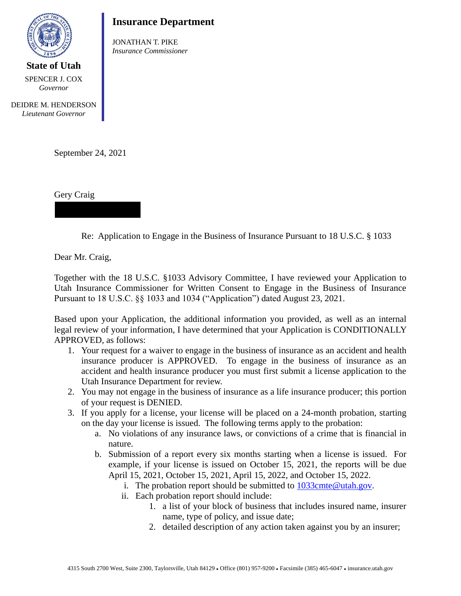

**State of Utah** SPENCER J. COX *Governor*

## **Insurance Department**

JONATHAN T. PIKE *Insurance Commissioner*

DEIDRE M. HENDERSON *Lieutenant Governor*

September 24, 2021

Gery Craig

Re: Application to Engage in the Business of Insurance Pursuant to 18 U.S.C. § 1033

Dear Mr. Craig,

Together with the 18 U.S.C. §1033 Advisory Committee, I have reviewed your Application to Utah Insurance Commissioner for Written Consent to Engage in the Business of Insurance Pursuant to 18 U.S.C. §§ 1033 and 1034 ("Application") dated August 23, 2021.

Based upon your Application, the additional information you provided, as well as an internal legal review of your information, I have determined that your Application is CONDITIONALLY APPROVED, as follows:

- 1. Your request for a waiver to engage in the business of insurance as an accident and health insurance producer is APPROVED. To engage in the business of insurance as an accident and health insurance producer you must first submit a license application to the Utah Insurance Department for review.
- 2. You may not engage in the business of insurance as a life insurance producer; this portion of your request is DENIED.
- 3. If you apply for a license, your license will be placed on a 24-month probation, starting on the day your license is issued. The following terms apply to the probation:
	- a. No violations of any insurance laws, or convictions of a crime that is financial in nature.
	- b. Submission of a report every six months starting when a license is issued. For example, if your license is issued on October 15, 2021, the reports will be due April 15, 2021, October 15, 2021, April 15, 2022, and October 15, 2022.
		- i. The probation report should be submitted to  $1033$ cmte@utah.gov.
		- ii. Each probation report should include:
			- 1. a list of your block of business that includes insured name, insurer name, type of policy, and issue date;
			- 2. detailed description of any action taken against you by an insurer;